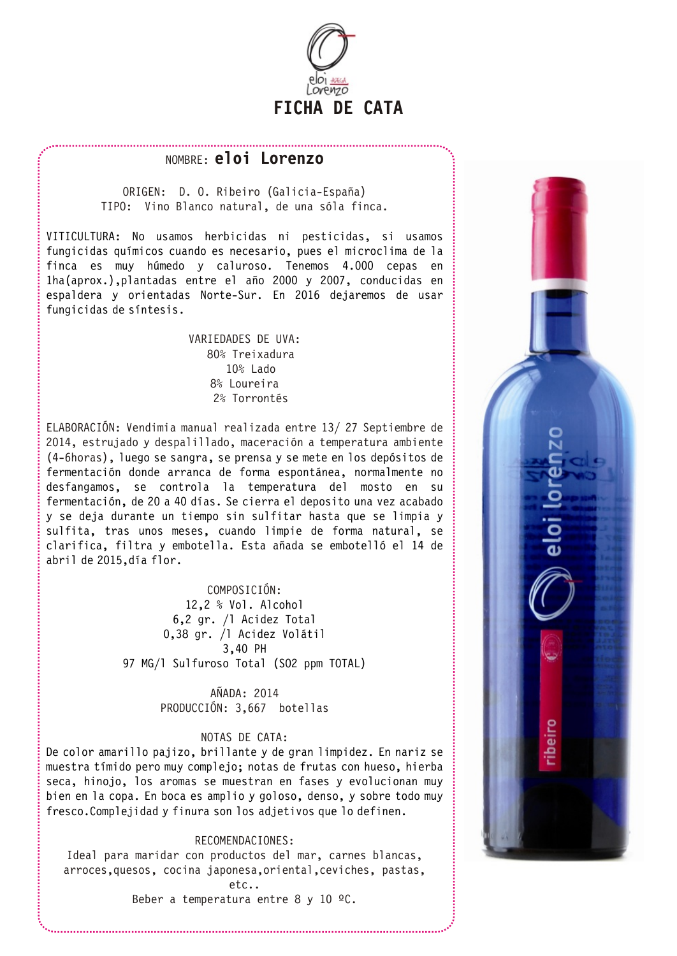

## NOMBRE: **eloi Lorenzo**

ORIGEN: D. O. Ribeiro (Galicia-España) TIPO: Vino Blanco natural, de una sóla finca.

VITICULTURA: No usamos herbicidas ni pesticidas, si usamos fungicidas químicos cuando es necesario, pues el microclima de la finca es muy húmedo y caluroso. Tenemos 4.000 cepas en 1ha(aprox.),plantadas entre el año 2000 y 2007, conducidas en espaldera y orientadas Norte-Sur. En 2016 dejaremos de usar fungicidas de síntesis.

## VARIEDADES DE UVA: 80% Treixadura 10% Lado 8% Loureira 2% Torrontés

ELABORACIÓN: Vendimia manual realizada entre 13/ 27 Septiembre de 2014, estrujado y despalillado, maceración a temperatura ambiente (4-6horas), luego se sangra, se prensa y se mete en los depósitos de fermentación donde arranca de forma espontánea, normalmente no desfangamos, se controla la temperatura del mosto en su fermentación, de 20 a 40 días. Se cierra el deposito una vez acabado y se deja durante un tiempo sin sulfitar hasta que se limpia y sulfita, tras unos meses, cuando limpie de forma natural, se clarifica, filtra y embotella. Esta añada se embotelló el 14 de abril de 2015,día flor.

## COMPOSICIÓN:

12,2 % Vol. Alcohol 6,2 gr. /l Acidez Total 0,38 gr. /l Acidez Volátil 3,40 PH 97 MG/l Sulfuroso Total (SO2 ppm TOTAL)

> AÑADA: 2014 PRODUCCIÓN: 3,667 botellas

#### NOTAS DE CATA:

De color amarillo pajizo, brillante y de gran limpidez. En nariz se muestra tímido pero muy complejo; notas de frutas con hueso, hierba seca, hinojo, los aromas se muestran en fases y evolucionan muy bien en la copa. En boca es amplio y goloso, denso, y sobre todo muy fresco.Complejidad y finura son los adjetivos que lo definen.

#### RECOMENDACIONES:

Ideal para maridar con productos del mar, carnes blancas, arroces,quesos, cocina japonesa,oriental,ceviches, pastas,

etc..

Beber a temperatura entre 8 y 10  $°C$ .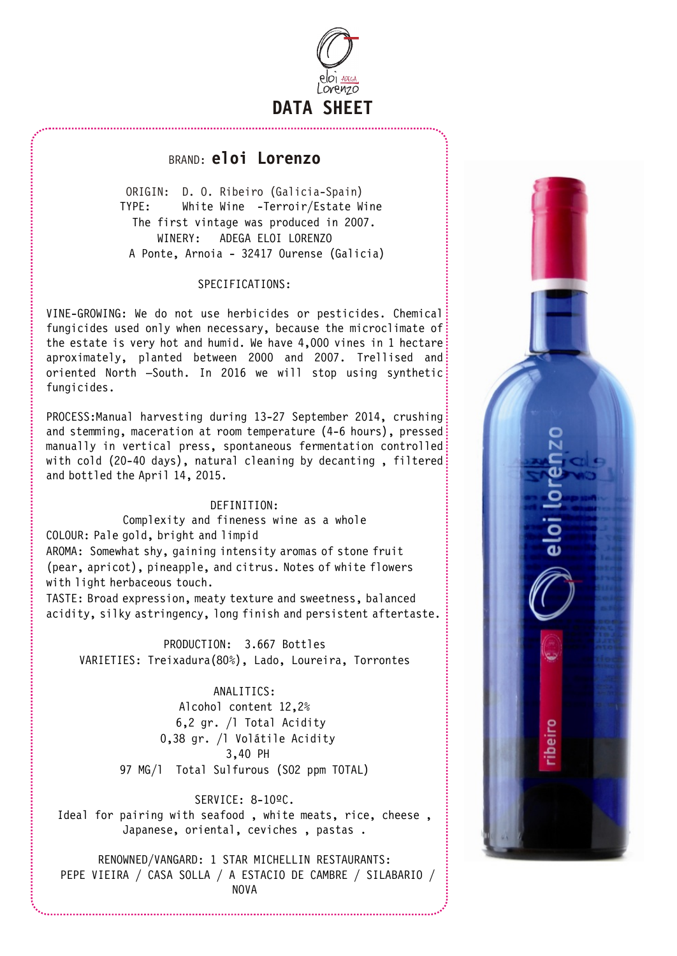

# BRAND: **eloi Lorenzo**

ORIGIN: D. O. Ribeiro (Galicia-Spain) TYPE: White Wine -Terroir/Estate Wine The first vintage was produced in 2007. WINERY: ADEGA ELOI LORENZO A Ponte, Arnoia - 32417 Ourense (Galicia)

## SPECIFICATIONS:

VINE-GROWING: We do not use herbicides or pesticides. Chemical fungicides used only when necessary, because the microclimate of the estate is very hot and humid. We have 4,000 vines in 1 hectare aproximately, planted between 2000 and 2007. Trellised and: oriented North -South. In 2016 we will stop using synthetic: fungicides.

PROCESS:Manual harvesting during 13-27 September 2014, crushing and stemming, maceration at room temperature (4-6 hours), pressed manually in vertical press, spontaneous fermentation controlled with cold (20-40 days), natural cleaning by decanting, filtered: and bottled the April 14, 2015.

#### DEFINITION:

Complexity and fineness wine as a whole

COLOUR: Pale gold, bright and limpid

AROMA: Somewhat shy, gaining intensity aromas of stone fruit (pear, apricot), pineapple, and citrus. Notes of white flowers with light herbaceous touch.

TASTE: Broad expression, meaty texture and sweetness, balanced acidity, silky astringency, long finish and persistent aftertaste.

PRODUCTION: 3.667 Bottles VARIETIES: Treixadura(80%), Lado, Loureira, Torrontes

> ANALITICS: Alcohol content 12,2% 6,2 gr. /l Total Acidity 0,38 gr. /l Volátile Acidity 3,40 PH 97 MG/l Total Sulfurous (SO2 ppm TOTAL)

## SERVICE: 8-10ºC.

Ideal for pairing with seafood , white meats, rice, cheese , Japanese, oriental, ceviches , pastas .

RENOWNED/VANGARD: 1 STAR MICHELLIN RESTAURANTS: PEPE VIEIRA / CASA SOLLA / A ESTACIO DE CAMBRE / SILABARIO / NOVA